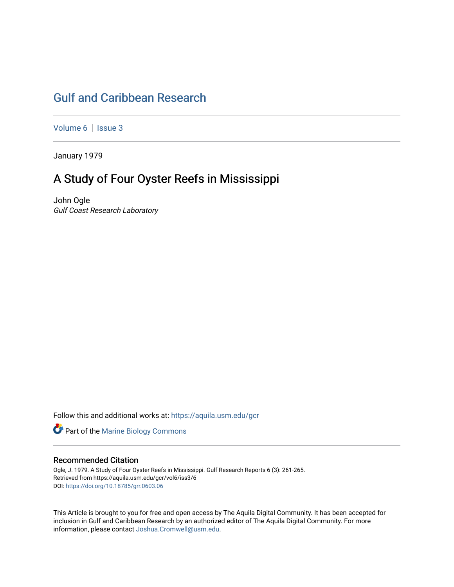# [Gulf and Caribbean Research](https://aquila.usm.edu/gcr)

[Volume 6](https://aquila.usm.edu/gcr/vol6) | Issue 3

January 1979

# A Study of Four Oyster Reefs in Mississippi

John Ogle Gulf Coast Research Laboratory

Follow this and additional works at: [https://aquila.usm.edu/gcr](https://aquila.usm.edu/gcr?utm_source=aquila.usm.edu%2Fgcr%2Fvol6%2Fiss3%2F6&utm_medium=PDF&utm_campaign=PDFCoverPages) 



# Recommended Citation

Ogle, J. 1979. A Study of Four Oyster Reefs in Mississippi. Gulf Research Reports 6 (3): 261-265. Retrieved from https://aquila.usm.edu/gcr/vol6/iss3/6 DOI: <https://doi.org/10.18785/grr.0603.06>

This Article is brought to you for free and open access by The Aquila Digital Community. It has been accepted for inclusion in Gulf and Caribbean Research by an authorized editor of The Aquila Digital Community. For more information, please contact [Joshua.Cromwell@usm.edu.](mailto:Joshua.Cromwell@usm.edu)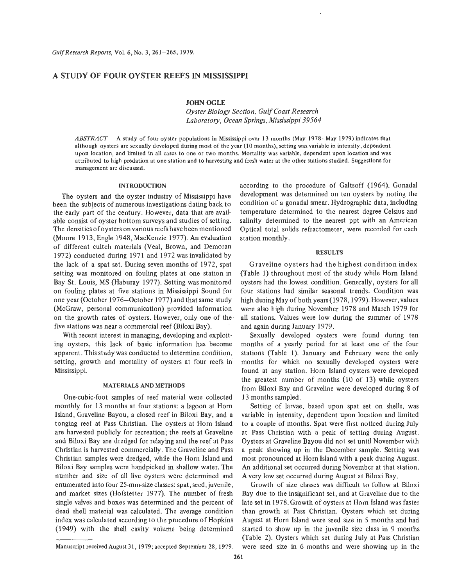# **A STUDY OF FOUR OYSTER REEFS IN MISSISSIPPI**

JOHN **OGLE** 

*Oyster Biology Section, Gulf Coast Research Laboratory, Ocean Springs, Mississippi 39564* 

*ABSTRACT* A study of four oyster populations in Mississippi over 13 months (May 1978-May 1979) indicates that although oysters are sexually developed during most of the year (10 months), setting was variable in intensity, dependent upon location, and limited in all cases to one or two months. Mortality was variable, dependent upon location and was attributed to high predation at one station and to harvesting and fresh water at the other stations studied. Suggestions for management are discussed.

#### **INTRODUCTION**

The oysters and the oyster industry of Mississippi have been the subjects of numerous investigations dating back to the early part of the century. However, data that are available consist of oyster bottom surveys and studies of setting. The densities of oysters onvarious reefs have been mentioned (Moore 1913, Engle 1948, MacKenzie 1977). An evaluation of different cultch materials (Veal, Brown, and Demoran 1972) conducted during 1971 and 1972 was invalidated by the lack of a spat set. During seven months of 1972, spat setting was monitored on fouling plates at one station in Bay St. Louis, MS (Haburay 1977). Setting was monitored on fouling plates at five stations in Mississippi Sound for one year (October 1976-October 1977) and that same study (McGraw, personal communication) provided information on the growth rates of oysters. However, only one of the five stations was near a commercial reef (Biloxi Bay).

With recent interest in managing, developing and exploiting oysters, this lack of basic information has become apparent. This study was conducted to determine condition, setting, growth and mortality of oysters at four reefs in Mississippi.

### **MATERIALS AND METHODS**

One-cubic-foot samples of reef material were collected monthly for 13 months at four stations: a lagoon at Horn Island, Graveline Bayou, a closed reef in Biloxi Bay, and a tonging reef at Pass Christian. The oysters at Horn Island are harvested publicly for recreation; the reefs at Graveline and Biloxi Bay are dredged for relaying and the reef at Pass Christian is harvested commercially. The Graveline and Pass Christian samples were dredged, while the Horn Island and Biloxi Bay samples were handpicked in shallow water. The number and size of all live oysters were determined and enumerated into four 25-mm-size classes: spat, seed, juvenile, and market sizes (Hofstetter 1977). The number of fresh single valves and boxes was determined and the percent of dead shell material was calculated. The average condition index was calculated according to the procedure of Hopkins (1949) with the shell cavity volume being determined according to the procedure of Galtsoff (1964). Gonadal development was determined on ten oysters by noting the condition of a gonadal smear. Hydrographic data, including temperature determined to the nearest degree Celsius and salinity determined to the nearest ppt with an American Optical total solids refractometer, were recorded for each station monthly.

#### **RESULTS**

Graveline oysters had the highest condition index (Table 1) throughout most of the study while Horn Island oysters had the lowest condition. Generally, oysters for all four stations had similar seasonal trends. Condition was high during May of both years (1978,1979). However, values were also high during November 1978 and March 1979 for all stations. Values were low during the summer of 1978 and again during January 1979.

Sexually developed oysters were found during ten months of a yearly period for at least one of the four stations (Table 1). January and February were the only months for which no sexually developed oysters were found at any station. Horn Island oysters were developed the greatest number of months (10 of 13) while oysters from Biloxi Bay and Graveline were developed during 8 of 13 months sampled.

Setting of larvae, based upon spat set on shells, was variable in intensity, dependent upon location and limited to a couple of months. Spat were first noticed during July at Pass Christian with a peak of setting during August. Oysters at Graveline Bayou did not set until November with a peak showing up in the December sample. Setting was most pronounced at Horn Island with a peak during August. *An* additional set occurred during November at that station. **A** very low set occurred during August at Biloxi Bay.

Growth of size classes was difficult to follow at Biloxi Bay due to the insignificant set, and at Graveline due to the late set in 1978. Growth of oysters at Horn Island was faster than growth at Pass Christian. Oysters which set during August at Horn Island were seed size in *5* months and had started to show up in the juvenile size class in 9 months (Table 2). Oysters which set during July at Pass Christian were seed size in 6 months and were showing up in the

Manuscript received August 31, 1979; accepted September 28, 1979.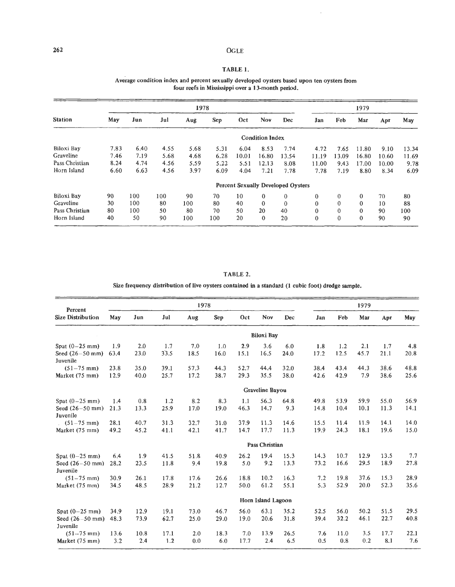#### *262* OGLE

÷,

# TABLE 1.

#### Average condition index and percent sexually developed oysters based upon ten oysters from four reefs in Mississippi over a 13-month period.

| <b>Station</b> |      |      |      | 1978 | 1979 |       |                        |                                           |              |              |              |       |       |
|----------------|------|------|------|------|------|-------|------------------------|-------------------------------------------|--------------|--------------|--------------|-------|-------|
|                | May  | Jun  | Jul  | Aug  | Sep  | Oct   | Nov                    | Dec                                       | Jan          | Feb          | Маг          | Apr   | May   |
|                |      |      |      |      |      |       | <b>Condition Index</b> |                                           |              |              |              |       |       |
| Biloxi Bay     | 7.83 | 6.40 | 4.55 | 5.68 | 5.31 | 6.04  | 8.53                   | 7.74                                      | 4.72         | 7.65         | 11.80        | 9.10  | 13.34 |
| Graveline      | 7.46 | 7.19 | 5.68 | 4.68 | 6.28 | 10.01 | 16.80                  | 13.54                                     | 11.19        | 13.09        | 16.80        | 10.60 | 11.69 |
| Pass Christian | 8.24 | 4.74 | 4.56 | 5.59 | 5.22 | 5.51  | 12.13                  | 8.08                                      | 11.00        | 9.43         | 17.00        | 10.00 | 9.78  |
| Horn Island    | 6.60 | 6.63 | 4.56 | 3.97 | 6.09 | 4.04  | 7.21                   | 7.78                                      | 7.78         | 7.19         | 8.80         | 8.34  | 6.09  |
|                |      |      |      |      |      |       |                        | <b>Percent Sexually Developed Oysters</b> |              |              |              |       |       |
| Biloxi Bay     | 90   | 100  | 100  | 90   | 70   | 10    | $\mathbf{0}$           | $\mathbf{0}$                              | $\mathbf{0}$ | $\mathbf{0}$ | $\mathbf{0}$ | 70    | 80    |
| Graveline      | 30   | 100  | 80   | 100  | 80   | 40    | $\theta$               | $\mathbf{0}$                              | $\mathbf{0}$ | $\mathbf{0}$ | $\theta$     | 10    | 88    |
| Pass Christian | 80   | 100  | 50   | 80   | 70   | 50    | 20                     | 40                                        | $\mathbf{0}$ | $\mathbf{0}$ | $\mathbf{0}$ | 90    | 100   |
| Horn Island    | 40   | 50   | 90   | 100  | 100  | 20    | $\theta$               | 20                                        | $\theta$     | $\theta$     | $\mathbf{0}$ | 90    | 90    |

## TABLE 2.

Size frequency distribution of live oysters contained in a standard (1 cubic foot) dredge sample.

| Percent<br><b>Size Distribution</b><br>Spat $(0-25$ mm)<br>Juvenile<br>$(51-75$ mm)<br>Market (75 mm)<br>Spat $(0-25$ mm)<br>Seed $(26 - 50$ mm)<br>Juvenile<br>$(51 - 75$ mm)<br>Market (75 mm)<br>Spat $(0-25$ mm)<br>Juvenile<br>$(51-75$ mm)<br>Market (75 mm)<br>Spat $(0-25$ mm)<br>Juvenile<br>$(51 - 75$ mm) |                    |      |      | 1978 | 1979 |      |                   |      |      |      |      |      |      |
|----------------------------------------------------------------------------------------------------------------------------------------------------------------------------------------------------------------------------------------------------------------------------------------------------------------------|--------------------|------|------|------|------|------|-------------------|------|------|------|------|------|------|
|                                                                                                                                                                                                                                                                                                                      | May                | Jun  | Jul  | Aug  | Sep  | Oct  | Nov               | Dec  | Jan  | Feb  | Mar  | Apr  | May  |
|                                                                                                                                                                                                                                                                                                                      |                    |      |      |      |      |      | <b>Biloxi Bay</b> |      |      |      |      |      |      |
|                                                                                                                                                                                                                                                                                                                      | 1.9                | 2.0  | 1.7  | 7.0  | 1.0  | 2.9  | 3.6               | 6.0  | 1.8  | 1.2  | 2.1  | 1.7  | 4.8  |
| Seed $(26 - 50$ mm)                                                                                                                                                                                                                                                                                                  | 63.4               | 23.0 | 33.5 | 18.5 | 16.0 | 15.1 | 16.5              | 24.0 | 17.2 | 12.5 | 45.7 | 21.1 | 20.8 |
|                                                                                                                                                                                                                                                                                                                      | 23.8               | 35.0 | 39.1 | 57.3 | 44.3 | 52.7 | 44.4              | 32.0 | 38.4 | 43.4 | 44.3 | 38.6 | 48.8 |
|                                                                                                                                                                                                                                                                                                                      | 12.9               | 40.0 | 25.7 | 17.2 | 38.7 | 29.3 | 35.5              | 38.0 | 42.6 | 42.9 | 7.9  | 38.6 | 25.6 |
|                                                                                                                                                                                                                                                                                                                      |                    |      |      |      |      |      | Graveline Bayou   |      |      |      |      |      |      |
|                                                                                                                                                                                                                                                                                                                      | 1.4                | 0.8  | 1.2  | 8.2  | 8.3  | 1.1  | 56.3              | 64.8 | 49.8 | 53.9 | 59.9 | 55.0 | 56.9 |
|                                                                                                                                                                                                                                                                                                                      | 21.3               | 13.3 | 25.9 | 17.0 | 19.0 | 46.3 | 14.7              | 9.3  | 14.8 | 10.4 | 10.1 | 11.3 | 14.1 |
|                                                                                                                                                                                                                                                                                                                      | 28.1               | 40.7 | 31.3 | 32.7 | 31.0 | 37.9 | 11.3              | 14.6 | 15.5 | 11.4 | 11.9 | 14.1 | 14.0 |
|                                                                                                                                                                                                                                                                                                                      | 49.2               | 45.2 | 41.1 | 42.1 | 41.7 | 14.7 | 17.7              | 11.3 | 19.9 | 24.3 | 18.1 | 19.6 | 15.0 |
|                                                                                                                                                                                                                                                                                                                      |                    |      |      |      |      |      | Pass Christian    |      |      |      |      | 13.5 |      |
|                                                                                                                                                                                                                                                                                                                      | 6.4                | 1.9  | 41.5 | 51.8 | 40.9 | 26.2 | 19.4              | 15.3 | 14.3 | 10.7 | 12.9 |      | 7.7  |
| Seed $(26 - 50$ mm)                                                                                                                                                                                                                                                                                                  | 28.2               | 23.5 | 11.8 | 9.4  | 19.8 | 5.0  | 9.2               | 13.3 | 73.2 | 16.6 | 29.5 | 18.9 | 27.8 |
|                                                                                                                                                                                                                                                                                                                      | 30.9               | 26.1 | 17.8 | 17.6 | 26.6 | 18.8 | 10.2              | 16.3 | 7.2  | 19.8 | 37.6 | 15.3 | 28.9 |
|                                                                                                                                                                                                                                                                                                                      | 34.5               | 48.5 | 28.9 | 21.2 | 12.7 | 50.0 | 61.2              | 55.1 | 5.3  | 52.9 | 20.0 | 52.3 | 35.6 |
|                                                                                                                                                                                                                                                                                                                      | Horn Island Lagoon |      |      |      |      |      |                   |      |      |      |      |      |      |
|                                                                                                                                                                                                                                                                                                                      | 34.9               | 12.9 | 19.1 | 73.0 | 46.7 | 56.0 | 63.1              | 35.2 | 52.5 | 56.0 | 50.2 | 51.5 | 29.5 |
| Seed $(26 - 50$ mm)                                                                                                                                                                                                                                                                                                  | 48.3               | 73.9 | 62.7 | 25.0 | 29.0 | 19.0 | 20.6              | 31.8 | 39.4 | 32.2 | 46.1 | 22.7 | 40.8 |
|                                                                                                                                                                                                                                                                                                                      | 13.6               | 10.8 | 17.1 | 2.0  | 18.3 | 7.0  | 13.9              | 26.5 | 7.6  | 11.0 | 3.5  | 17.7 | 22.1 |
| Market (75 mm)                                                                                                                                                                                                                                                                                                       | 3.2                | 2.4  | 1.2  | 0.0  | 6.0  | 17.7 | 2.4               | 6.5  | 0.5  | 0.8  | 0.2  | 8.1  | 7.6  |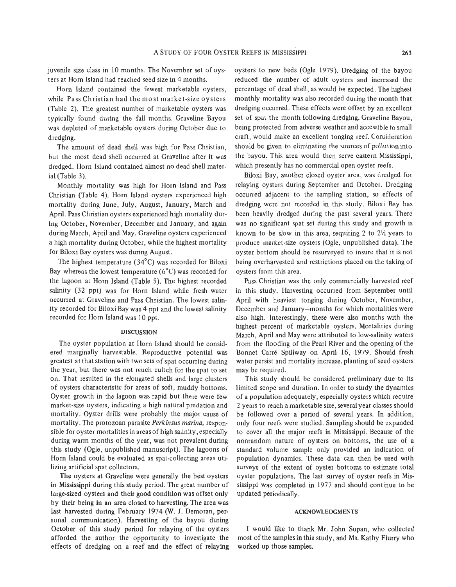juvenile size class in 10 months. The November set of oysters at Horn Island had reached seed size in 4 months.

Horn Island contained the fewest marketable oysters, while Pass Christian had the most market-size oysters (Table 2). The greatest number of marketable oysters was typically found during the fall months. Graveline Bayou was depleted of marketable oysters during October due to dredging.

The amount of dead shell was high for Pass Christian, but the most dead shell occurred at Graveline after it was dredged. Horn Island contained almost no dead shell material (Table **3).** 

Monthly mortality was high for Horn Island and Pass Christian (Table 4). Horn Island oysters experienced high mortality during June, July, August, January, March and April. Pass Christian oysters experienced high mortality during October, November, December and January, and again during March, April and May. Graveline oysters experienced a high mortality during October, while the highest mortality for Biloxi Bay oysters was during August.

The highest temperature (34°C) was recorded for Biloxi Bay whereas the lowest temperature  $(6^{\circ}C)$  was recorded for the lagoon at Horn Island (Table 5). The highest recorded salinity (32 ppt) was for Horn Island while fresh water occurred at Graveline and Pass Christian. The lowest salinity recorded for Biloxi Bay was 4 ppt and the lowest salinity recorded for Horn Island was 10 ppt.

## **DISCUSSION**

The oyster population at Horn Island should be considered marginally harvestable. Reproductive potential was greatest at that station with two sets of spat occurring during the year, but there was not much cultch for the spat to set on. That resulted in the elongated shells and large clusters of oysters characteristic for areas of soft, muddy bottoms. Oyster growth in the lagoon was rapid but there were few market-size oysters, indicating a high natural predation and mortality. Oyster drills were probably the major cause of mortality. The protozoan parasite *Perkinsus marina,* responsible for oyster mortalities in areasof high salinity, especially during warm months of the year, was not prevalent during this study (Ogle, unpublished manuscript). The lagoons of Horn Island could be evaluated as spat-collecting areas utilizing artificial spat collectors.

The oysters at Graveline were generally the best oysters in Mississippi during this study period. The great number of large-sized oysters and their good condition was offset only by their being in an area closed to harvesting. The area was last harvested during February 1974 (W. J. Demoran, personal communication). Harvesting of the bayou during October **of** this study period for relaying of the oysters afforded the author the opportunity to investigate the effects of dredging on a reef and the effect of relaying worked up those samples.

oysters to new beds (Ogle 1979). Dredging of the bayou reduced the number of adult oysters and increased the percentage of dead shell, as would be expected. The highest monthly mortality was also recorded during the month that dredging occurred. These effects were offset by an excellent set of spat the month following dredging. Graveline Bayou, being protected from adverse weather and accessible to small craft, would make an excellent tonging reef. Consideration should be given to eliminating the sources of pollution into the bayou. This area would then serve eastern Mississippi, which presently has no commercial open oyster reefs.

Biloxi Bay, another closed oyster area, was dredged for relaying oysters during September and October. Dredging occurred adjacent to the sampling station, so effects of dredging were not recorded in this study. Biloxi Bay has been heavily dredged during the past several years. There was no significant spat set during this study and growth is known to be slow in this area, requiring 2 to 2% years to produce market-size oysters (Ogle, unpublished data). The oyster bottom should be resurveyed to insure that it is not being overharvested and restrictions placed on the taking of oysters from this area.

Pass Christian was the only commercially harvested reef in this study. Harvesting occurred from September until April with heaviest tonging during October, November, December and January-months for which mortalities were also high. Interestingly, these were also months with the highest percent of marketable oysters. Mortalities during March, April and May were attributed to low-salinity waters from the flooding of the Pearl River and the opening of the Bonnet Carre Spillway on April 16, 1979. Should fresh water persist and mortality increase, planting of seed oysters may be required.

This study should be considered preliminary due to its limited scope and duration. In order to study the dynamics of a population adequately, especially oysters which require 2 years to reach a marketable size, several year classes should be followed over a period of several years. In addition, only four reefs were studied. Sampling should be expanded to cover all the major reefs in Mississippi. Because of the nonrandom nature of oysters on bottoms, the use of a standard volume sample only provided an indication of population dynamics. These data can then be used with surveys of the extent of oyster bottoms to estimate total oyster populations. The last survey of oyster reefs in Mississippi was completed in 1977 and should continue to **be**  updated periodically.

## **ACKNOWLEDGMENTS**

**I** would like to thank Mr. John Supan, who collected most of the samples in this study, and Ms. Kathy Flurry who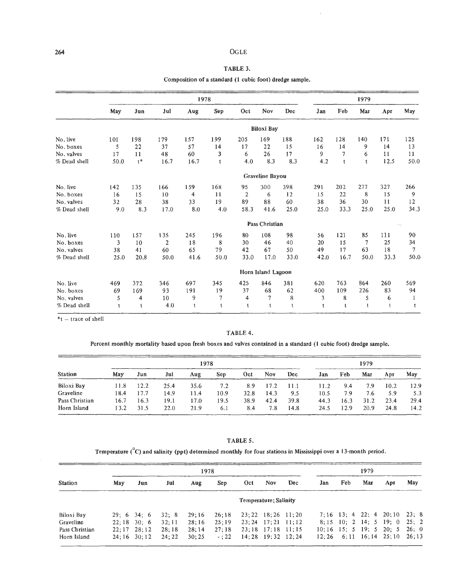#### **264** OGLE

# TABLE 3.

Composition of a standard (1 cubic foot) dredge sample.

|              |      |             |                | 1979        |                |                |                    |             |      |              |              |              |              |
|--------------|------|-------------|----------------|-------------|----------------|----------------|--------------------|-------------|------|--------------|--------------|--------------|--------------|
|              | May  | Jun         | Jul            | Aug         | Sep            | Oct            | Nov                | Dec         | Jan  | Feb          | Mar          | Apr          | May          |
|              |      |             |                |             |                |                | <b>Biloxi Bay</b>  |             |      |              |              |              |              |
| No. live     | 101  | 198         | 179            | 157         | 199            | 205            | 169                | 188         | 162  | 128          | 140          | 171          | 125          |
| No. boxes    | 5    | 22          | 37             | 57          | 14             | 17             | 22                 | 15          | 16   | 14           | 9            | 14           | 13           |
| No. valves   | 17   | 11          | 48             | 60          | 3              | 6              | 26                 | 17          | 9    | $\tau$       | 6            | 11           | 11           |
| % Dead shell | 50.0 | $t^*$       | 16.7           | 16.7        | t              | 4.0            | 8.3                | 8.3         | 4.2  | t            | t            | 12.5         | 50.0         |
|              |      |             |                |             |                |                | Graveline Bayou    |             |      |              |              |              |              |
| No. live     | 142  | 135         | 166            | 159         | 168            | 95             | 300                | 398         | 291  | 202          | 277          | 327          | 266          |
| No. boxes    | 16   | 15          | 10             | 4           | 11             | $\overline{c}$ | 6                  | 12          | 15   | 22           | 8            | 15           | 9            |
| No. valves   | 32   | 28          | 38             | 33          | 19             | 89             | 88                 | 60          | 38   | 36           | 30           | 11           | 12           |
| % Dead shell | 9.0  | 8.3         | 17.0           | $\ \, 8.0$  | 4.0            | 58.3           | 41.6               | 25.0        | 25.0 | 33,3         | 25.0         | 25.0         | 34.3         |
|              |      |             |                |             |                |                | Pass Christian     |             |      |              |              |              | m.           |
| No. live     | 110  | 157         | 135            | 245         | 196            | 80             | 108                | 98          | 56   | 121          | 85           | 111          | 90           |
| No. boxes    | 3    | 10          | $\overline{2}$ | 18          | 8              | 30             | 46                 | 40          | 20   | 15           | 7            | 25           | 34           |
| No. valves   | 38   | 41          | 60             | 65          | 79             | 42             | 67                 | 50          | 49   | 17           | 63           | 18           | $\tau$       |
| % Dead shell | 25.0 | 20.8        | 50.0           | 41.6        | 50.0           | 33.0           | 17.0               | 33.0        | 42.0 | 16.7         | 50.0         | 33.3         | 50.0         |
|              |      |             |                |             |                |                | Horn Island Lagoon |             |      |              |              |              |              |
| No. live     | 469  | 372         | 346            | 697         | 345            | 425            | 846                | 381         | 620  | 763          | 864          | 260          | 569          |
| No. boxes    | 69   | 169         | 93             | 191         | 19             | 37             | 68                 | 62          | 400  | 109          | 226          | 83           | 94           |
| No. valves   | 5    | 4           | 10             | 9           | $\overline{7}$ | $\overline{4}$ | $\overline{7}$     | 8           | 3    | 8            | 5            | 6            | 1            |
| % Dead shell | t    | $\mathbf t$ | 4.0            | $\mathbf t$ | t              | $\mathbf{t}$   | $\mathsf{t}$       | $\mathbf t$ | t    | $\mathbf{t}$ | $\mathbf{t}$ | $\mathbf{t}$ | $\mathsf{t}$ |

 $*$ t - trace of shell

#### TABLE 4.

Percent monthly mortality based upon fresh boxes and valves contained in a standard (1 cubic foot) dredge sample.

| <b>Station</b> |      |      |      | 1979 |            |      |      |      |      |      |      |      |      |
|----------------|------|------|------|------|------------|------|------|------|------|------|------|------|------|
|                | May  | Jun  | Jul  | Aug  | <b>Sep</b> | Oct  | Nov  | Dec  | Jan  | Feb  | Mar  | Apr  | May  |
| Biloxi Bay     | 11.8 | 12.2 | 25.4 | 35.6 | 7.2        | 8.9  | 17.2 | 11.1 | 11.2 | 9.4  | 7.9  | 10.2 | 12.9 |
| Graveline      | 18.4 | 17.7 | 14.9 | 11.4 | 10.9       | 32.8 | 14.3 | 9.5  | 10.5 | 7.9  | 7.6  | 5.9  | 5.3  |
| Pass Christian | 16.7 | 16.3 | 19.1 | 17.0 | 19.5       | 38.9 | 42.4 | 39.8 | 44.3 | 16.3 | 31.2 | 23.4 | 29.4 |
| Horn Island    | 13.2 | 31.5 | 22.0 | 21.9 | 6.1        | 8.4  | 7.8  | 14.8 | 24.5 | 12.9 | 20.9 | 24.8 | 14.2 |

# TABLE **5.**

Temperature ('C) and salinity (ppt) determined monthly for four stations in Mississippi over a 13-month period.

|                |                       |                     |       | 1979  |        |     |                                 |     |     |                           |     |                                 |       |
|----------------|-----------------------|---------------------|-------|-------|--------|-----|---------------------------------|-----|-----|---------------------------|-----|---------------------------------|-------|
| <b>Station</b> | May                   | Jun                 | Jul   | Aug   | Sep    | Oct | Nov                             | Dec | Jan | Feb                       | Mar | Apr                             | May   |
|                | Temperature; Salinity |                     |       |       |        |     |                                 |     |     |                           |     |                                 |       |
| Biloxi Bay     |                       | $29:6$ 34: 6        | 32:8  | 29:16 | 26:18  |     | $23:22 \quad 18:26 \quad 11:20$ |     |     |                           |     | $7:16$ 13; 4 22; 4 20; 10 23; 8 |       |
| Graveline      |                       | $22:18$ 30: 6       | 32:11 | 28:16 | 25:19  |     | $23:24$ 17:21 11:12             |     |     |                           |     | $8; 15 \t10; 2 \t14; 5 \t19; 0$ | 25:2  |
| Pass Christian |                       | $22:17$ $28:12$     | 28:18 | 28:14 | 27:18  |     | 23:18 17:18 11:15               |     |     | $10:16$ 15; 5 19; 5 20; 5 |     |                                 | 26; 0 |
| Horn Island    |                       | $24:16 \quad 30:12$ | 24:22 | 30:25 | $-:22$ |     | $14:28$ 19:32 12:24             |     |     |                           |     | $12:26$ 6:11 $16:14$ 25:10      | 26;13 |